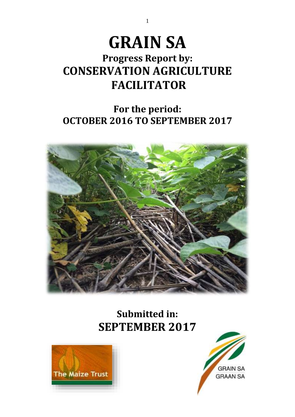# **GRAIN SA**

# **Progress Report by: CONSERVATION AGRICULTURE FACILITATOR**

# **For the period: OCTOBER 2016 TO SEPTEMBER 2017**



# **Submitted in: SEPTEMBER 2017**





1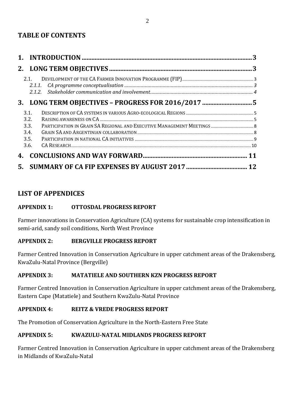### **TABLE OF CONTENTS**

|    | 2.1<br>2.1.1.                                |  |
|----|----------------------------------------------|--|
|    |                                              |  |
|    | 3.1.<br>3.2.<br>3.3.<br>3.4.<br>3.5.<br>3.6. |  |
| 4. |                                              |  |
| 5. |                                              |  |

### **LIST OF APPENDICES**

#### **APPENDIX 1: OTTOSDAL PROGRESS REPORT**

Farmer innovations in Conservation Agriculture (CA) systems for sustainable crop intensification in semi-arid, sandy soil conditions, North West Province

#### **APPENDIX 2: BERGVILLE PROGRESS REPORT**

Farmer Centred Innovation in Conservation Agriculture in upper catchment areas of the Drakensberg, KwaZulu-Natal Province (Bergville)

#### **APPENDIX 3: MATATIELE AND SOUTHERN KZN PROGRESS REPORT**

Farmer Centred Innovation in Conservation Agriculture in upper catchment areas of the Drakensberg, Eastern Cape (Matatiele) and Southern KwaZulu-Natal Province

#### **APPENDIX 4: REITZ & VREDE PROGRESS REPORT**

The Promotion of Conservation Agriculture in the North-Eastern Free State

#### **APPENDIX 5: KWAZULU-NATAL MIDLANDS PROGRESS REPORT**

Farmer Centred Innovation in Conservation Agriculture in upper catchment areas of the Drakensberg in Midlands of KwaZulu-Natal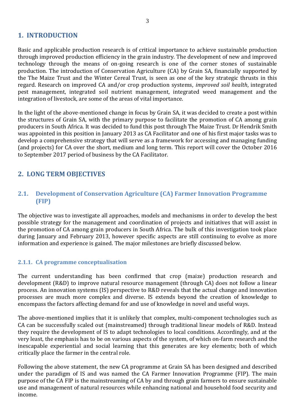#### <span id="page-2-0"></span>**1. INTRODUCTION**

Basic and applicable production research is of critical importance to achieve sustainable production through improved production efficiency in the grain industry. The development of new and improved technology through the means of on-going research is one of the corner stones of sustainable production. The introduction of Conservation Agriculture (CA) by Grain SA, financially supported by the The Maize Trust and the Winter Cereal Trust, is seen as one of the key strategic thrusts in this regard. Research on improved CA and/or crop production systems, *improved soil health*, integrated pest management, integrated soil nutrient management, integrated weed management and the integration of livestock, are some of the areas of vital importance.

In the light of the above-mentioned change in focus by Grain SA, it was decided to create a post within the structures of Grain SA, with the primary purpose to facilitate the promotion of CA among grain producers in South Africa. It was decided to fund this post through The Maize Trust. Dr Hendrik Smith was appointed in this position in January 2013 as CA Facilitator and one of his first major tasks was to develop a comprehensive strategy that will serve as a framework for accessing and managing funding (and projects) for CA over the short, medium and long term. This report will cover the October 2016 to September 2017 period of business by the CA Facilitator.

### <span id="page-2-1"></span>**2. LONG TERM OBJECTIVES**

#### <span id="page-2-2"></span>**2.1. Development of Conservation Agriculture (CA) Farmer Innovation Programme (FIP)**

The objective was to investigate all approaches, models and mechanisms in order to develop the best possible strategy for the management and coordination of projects and initiatives that will assist in the promotion of CA among grain producers in South Africa. The bulk of this investigation took place during January and February 2013, however specific aspects are still continuing to evolve as more information and experience is gained. The major milestones are briefly discussed below.

#### <span id="page-2-3"></span>**2.1.1. CA programme conceptualisation**

The current understanding has been confirmed that crop (maize) production research and development (R&D) to improve natural resource management (through CA) does not follow a linear process. An innovation systems (IS) perspective to R&D reveals that the actual change and innovation processes are much more complex and diverse. IS extends beyond the creation of knowledge to encompass the factors affecting demand for and use of knowledge in novel and useful ways.

The above-mentioned implies that it is unlikely that complex, multi-component technologies such as CA can be successfully scaled out (mainstreamed) through traditional linear models of R&D. Instead they require the development of IS to adapt technologies to local conditions. Accordingly, and at the very least, the emphasis has to be on various aspects of the system, of which on-farm research and the inescapable experiential and social learning that this generates are key elements; both of which critically place the farmer in the central role.

Following the above statement, the new CA programme at Grain SA has been designed and described under the paradigm of IS and was named the CA Farmer Innovation Programme (FIP). The main purpose of the CA FIP is the mainstreaming of CA by and through grain farmers to ensure sustainable use and management of natural resources while enhancing national and household food security and income.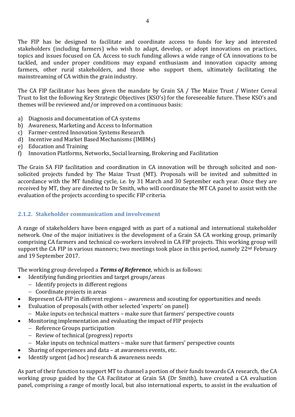The FIP has be designed to facilitate and coordinate access to funds for key and interested stakeholders (including farmers) who wish to adapt, develop, or adopt innovations on practices, topics and issues focused on CA. Access to such funding allows a wide range of CA innovations to be tackled, and under proper conditions may expand enthusiasm and innovation capacity among farmers, other rural stakeholders, and those who support them, ultimately facilitating the mainstreaming of CA within the grain industry.

The CA FIP facilitator has been given the mandate by Grain SA / The Maize Trust / Winter Cereal Trust to list the following Key Strategic Objectives (KSO's) for the foreseeable future. These KSO's and themes will be reviewed and/or improved on a continuous basis:

- a) Diagnosis and documentation of CA systems
- b) Awareness, Marketing and Access to Information
- c) Farmer-centred Innovation Systems Research
- d) Incentive and Market Based Mechanisms (IMBMs)
- e) Education and Training
- f) Innovation Platforms, Networks, Social learning, Brokering and Facilitation

The Grain SA FIP facilitation and coordination in CA innovation will be through solicited and nonsolicited projects funded by The Maize Trust (MT). Proposals will be invited and submitted in accordance with the MT funding cycle, i.e. by 31 March and 30 September each year. Once they are received by MT, they are directed to Dr Smith, who will coordinate the MT CA panel to assist with the evaluation of the projects according to specific FIP criteria.

#### <span id="page-3-0"></span>**2.1.2. Stakeholder communication and involvement**

A range of stakeholders have been engaged with as part of a national and international stakeholder network. One of the major initiatives is the development of a Grain SA CA working group, primarily comprising CA farmers and technical co-workers involved in CA FIP projects. This working group will support the CA FIP in various manners; two meetings took place in this period, namely  $22<sup>nd</sup>$  February and 19 September 2017.

The working group developed a *Terms of Reference*, which is as follows:

- Identifying funding priorities and target groups/areas
- − Identify projects in different regions
	- − Coordinate projects in areas
- Represent CA-FIP in different regions awareness and scouting for opportunities and needs
- Evaluation of proposals (with other selected 'experts' on panel)
	- − Make inputs on technical matters make sure that farmers' perspective counts
	- Monitoring implementation and evaluating the impact of FIP projects
	- − Reference Groups participation
	- − Review of technical (progress) reports
	- − Make inputs on technical matters make sure that farmers' perspective counts
- Sharing of experiences and data at awareness events, etc.
- Identify urgent (ad hoc) research & awareness needs

As part of their function to support MT to channel a portion of their funds towards CA research, the CA working group guided by the CA Facilitator at Grain SA (Dr Smith), have created a CA evaluation panel, comprising a range of mostly local, but also international experts, to assist in the evaluation of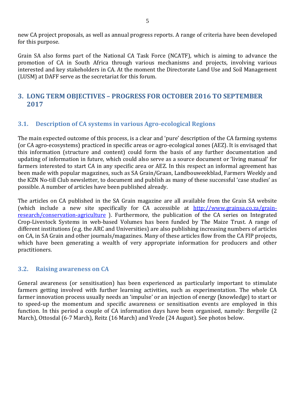new CA project proposals, as well as annual progress reports. A range of criteria have been developed for this purpose.

Grain SA also forms part of the National CA Task Force (NCATF), which is aiming to advance the promotion of CA in South Africa through various mechanisms and projects, involving various interested and key stakeholders in CA. At the moment the Directorate Land Use and Soil Management (LUSM) at DAFF serve as the secretariat for this forum.

#### <span id="page-4-0"></span>**3. LONG TERM OBJECTIVES – PROGRESS FOR OCTOBER 2016 TO SEPTEMBER 2017**

#### <span id="page-4-1"></span>**3.1. Description of CA systems in various Agro-ecological Regions**

The main expected outcome of this process, is a clear and 'pure' description of the CA farming systems (or CA agro-ecosystems) practiced in specific areas or agro-ecological zones (AEZ). It is envisaged that this information (structure and content) could form the basis of any further documentation and updating of information in future, which could also serve as a source document or 'living manual' for farmers interested to start CA in any specific area or AEZ. In this respect an informal agreement has been made with popular magazines, such as SA Grain/Graan, Landbouweekblad, Farmers Weekly and the KZN No-till Club newsletter, to document and publish as many of these successful 'case studies' as possible. A number of articles have been published already.

The articles on CA published in the SA Grain magazine are all available from the Grain SA website (which include a new site specifically for CA accessible at [http://www.grainsa.co.za/grain](http://www.grainsa.co.za/grain-research/conservation-agriculture)[research/conservation-agriculture](http://www.grainsa.co.za/grain-research/conservation-agriculture) ). Furthermore, the publication of the CA series on Integrated Crop-Livestock Systems in web-based Volumes has been funded by The Maize Trust. A range of different institutions (e.g. the ARC and Universities) are also publishing increasing numbers of articles on CA, in SA Grain and other journals/magazines. Many of these articles flow from the CA FIP projects, which have been generating a wealth of very appropriate information for producers and other practitioners.

#### <span id="page-4-2"></span>**3.2. Raising awareness on CA**

General awareness (or sensitisation) has been experienced as particularly important to stimulate farmers getting involved with further learning activities, such as experimentation. The whole CA farmer innovation process usually needs an 'impulse' or an injection of energy (knowledge) to start or to speed-up the momentum and specific awareness or sensitisation events are employed in this function. In this period a couple of CA information days have been organised, namely: Bergville (2 March), Ottosdal (6-7 March), Reitz (16 March) and Vrede (24 August). See photos below.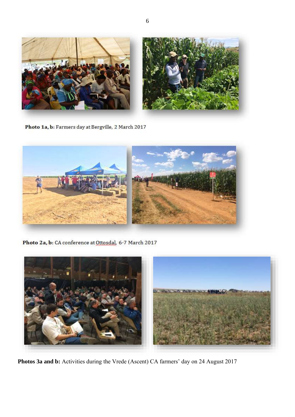

Photo 1a, b: Farmers day at Bergville, 2 March 2017



Photo 2a, b: CA conference at Ottosdal, 6-7 March 2017



**Photos 3a and b:** Activities during the Vrede (Ascent) CA farmers' day on 24 August 2017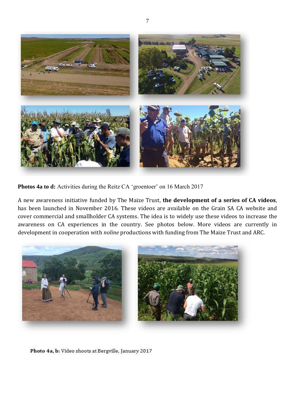

**Photos 4a to d:** Activities during the Reitz CA 'groentoer' on 16 March 2017

A new awareness initiative funded by The Maize Trust, **the development of a series of CA videos**, has been launched in November 2016. These videos are available on the Grain SA CA website and cover commercial and smallholder CA systems. The idea is to widely use these videos to increase the awareness on CA experiences in the country. See photos below. More videos are currently in development in cooperation with *noline* productions with funding from The Maize Trust and ARC.



Photo 4a, b: Video shoots at Bergville, January 2017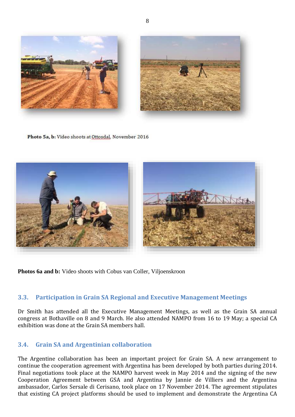

Photo 5a, b: Video shoots at Ottosdal, November 2016



**Photos 6a and b:** Video shoots with Cobus van Coller, Viljoenskroon

#### <span id="page-7-0"></span>**3.3. Participation in Grain SA Regional and Executive Management Meetings**

Dr Smith has attended all the Executive Management Meetings, as well as the Grain SA annual congress at Bothaville on 8 and 9 March. He also attended NAMPO from 16 to 19 May; a special CA exhibition was done at the Grain SA members hall.

#### <span id="page-7-1"></span>**3.4. Grain SA and Argentinian collaboration**

The Argentine collaboration has been an important project for Grain SA. A new arrangement to continue the cooperation agreement with Argentina has been developed by both parties during 2014. Final negotiations took place at the NAMPO harvest week in May 2014 and the signing of the new Cooperation Agreement between GSA and Argentina by Jannie de Villiers and the Argentina ambassador, Carlos Sersale di Cerisano, took place on 17 November 2014. The agreement stipulates that existing CA project platforms should be used to implement and demonstrate the Argentina CA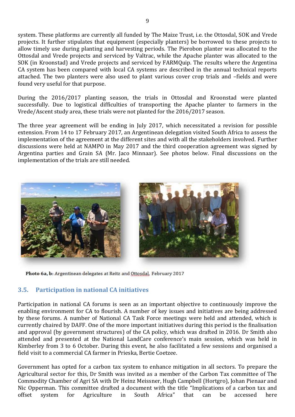system. These platforms are currently all funded by The Maize Trust, i.e. the Ottosdal, SOK and Vrede projects. It further stipulates that equipment (especially planters) be borrowed to these projects to allow timely use during planting and harvesting periods. The Pierobon planter was allocated to the Ottosdal and Vrede projects and serviced by Valtrac, while the Apache planter was allocated to the SOK (in Kroonstad) and Vrede projects and serviced by FARMQuip. The results where the Argentina CA system has been compared with local CA systems are described in the annual technical reports attached. The two planters were also used to plant various cover crop trials and –fields and were found very useful for that purpose.

During the 2016/2017 planting season, the trials in Ottosdal and Kroonstad were planted successfully. Due to logistical difficulties of transporting the Apache planter to farmers in the Vrede/Ascent study area, these trials were not planted for the 2016/2017 season.

The three year agreement will be ending in July 2017, which necessitated a revision for possible extension. From 14 to 17 February 2017, an Argentinean delegation visited South Africa to assess the implementation of the agreement at the different sites and with all the stakeholders involved. Further discussions were held at NAMPO in May 2017 and the third cooperation agreement was signed by Argentina parties and Grain SA (Mr. Jaco Minnaar). See photos below. Final discussions on the implementation of the trials are still needed.



Photo 6a, b: Argentinean delegates at Reitz and Ottosdal, February 2017

#### <span id="page-8-0"></span>**3.5. Participation in national CA initiatives**

Participation in national CA forums is seen as an important objective to continuously improve the enabling environment for CA to flourish. A number of key issues and initiatives are being addressed by these forums. A number of National CA Task Force meetings were held and attended, which is currently chaired by DAFF. One of the more important initiatives during this period is the finalisation and approval (by government structures) of the CA policy, which was drafted in 2016. Dr Smith also attended and presented at the National LandCare conference's main session, which was held in Kimberley from 3 to 6 October. During this event, he also facilitated a few sessions and organised a field visit to a commercial CA farmer in Prieska, Bertie Coetzee.

Government has opted for a carbon tax system to enhance mitigation in all sectors. To prepare the Agricultural sector for this, Dr Smith was invited as a member of the Carbon Tax committee of The Commodity Chamber of Agri SA with Dr Heinz Meissner, Hugh Campbell (Hortgro), Johan Pienaar and Nic Opperman. This committee drafted a document with the title "Implications of a carbon tax and offset system for Agriculture in South Africa" that can be accessed here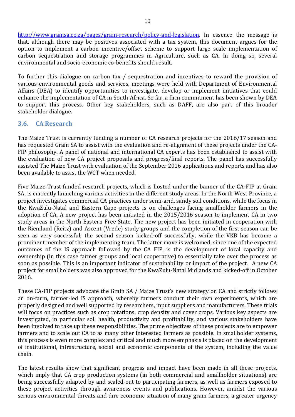[http://www.grainsa.co.za/pages/grain-research/policy-and-legislation.](http://www.grainsa.co.za/pages/grain-research/policy-and-legislation) In essence the message is that, although there may be positives associated with a tax system, this document argues for the option to implement a carbon incentive/offset scheme to support large scale implementation of carbon sequestration and storage programmes in Agriculture, such as CA. In doing so, several environmental and socio-economic co-benefits should result.

To further this dialogue on carbon tax / sequestration and incentives to reward the provision of various environmental goods and services, meetings were held with Department of Environmental Affairs (DEA) to identify opportunities to investigate, develop or implement initiatives that could enhance the implementation of CA in South Africa. So far, a firm commitment has been shown by DEA to support this process. Other key stakeholders, such as DAFF, are also part of this broader stakeholder dialogue.

#### <span id="page-9-0"></span>**3.6. CA Research**

The Maize Trust is currently funding a number of CA research projects for the 2016/17 season and has requested Grain SA to assist with the evaluation and re-alignment of these projects under the CA-FIP philosophy. A panel of national and international CA experts has been established to assist with the evaluation of new CA project proposals and progress/final reports. The panel has successfully assisted The Maize Trust with evaluation of the September 2016 applications and reports and has also been available to assist the WCT when needed.

Five Maize Trust funded research projects, which is hosted under the banner of the CA-FIP at Grain SA, is currently launching various activities in the different study areas. In the North West Province, a project investigates commercial CA practices under semi-arid, sandy soil conditions, while the focus in the KwaZulu-Natal and Eastern Cape projects is on challenges facing smallholder farmers in the adoption of CA. A new project has been initiated in the 2015/2016 season to implement CA in two study areas in the North Eastern Free State. The new project has been initiated in cooperation with the Riemland (Reitz) and Ascent (Vrede) study groups and the completion of the first season can be seen as very successful; the second season kicked-off successfully, while the VKB has become a prominent member of the implementing team. The latter move is welcomed, since one of the expected outcomes of the IS approach followed by the CA FIP, is the development of local capacity and ownership (in this case farmer groups and local cooperative) to essentially take over the process as soon as possible. This is an important indicator of sustainability or impact of the project. A new CA project for smallholders was also approved for the KwaZulu-Natal Midlands and kicked-off in October 2016.

These CA-FIP projects advocate the Grain SA / Maize Trust's new strategy on CA and strictly follows an on-farm, farmer-led IS approach, whereby farmers conduct their own experiments, which are properly designed and well supported by researchers, input suppliers and manufacturers. These trials will focus on practices such as crop rotations, crop density and cover crops. Various key aspects are investigated, in particular soil health, productivity and profitability, and various stakeholders have been involved to take up these responsibilities. The prime objectives of these projects are to empower farmers and to scale out CA to as many other interested farmers as possible. In smallholder systems, this process is even more complex and critical and much more emphasis is placed on the development of institutional, infrastructure, social and economic components of the system, including the value chain.

The latest results show that significant progress and impact have been made in all these projects, which imply that CA crop production systems (in both commercial and smallholder situations) are being successfully adapted by and scaled-out to participating farmers, as well as farmers exposed to these project activities through awareness events and publications. However, amidst the various serious environmental threats and dire economic situation of many grain farmers, a greater urgency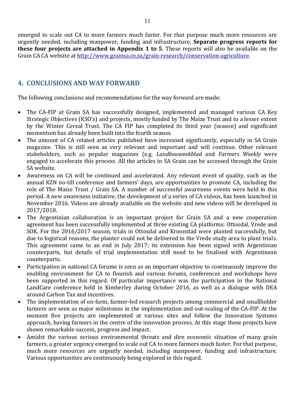emerged to scale out CA to more farmers much faster. For that purpose much more resources are urgently needed, including manpower, funding and infrastructure. **Separate progress reports for these four projects are attached in Appendix 1 to 5**. These reports will also be available on the Grain CA CA website at [http://www.grainsa.co.za/grain-research/conservation-agriculture.](http://www.grainsa.co.za/grain-research/conservation-agriculture)

#### <span id="page-10-0"></span>**4. CONCLUSIONS AND WAY FORWARD**

The following conclusions and recommendations for the way forward are made:

- The CA-FIP at Grain SA has successfully designed, implemented and managed various CA Key Strategic Objectives (KSO's) and projects, mostly funded by The Maize Trust and to a lesser extent by the Winter Cereal Trust. The CA FIP has completed its third year (season) and significant momentum has already been built into the fourth season.
- The amount of CA related articles published have increased significantly, especially in SA Grain magazine. This is still seen as very relevant and important and will continue. Other relevant stakeholders, such as popular magazines (e.g. *Landbouweekblad* and *Farmers Weekly* were engaged to accelerate this process. All the articles in SA Grain can be accessed through the Grain SA website.
- Awareness on CA will be continued and accelerated. Any relevant event of quality, such as the annual KZN no-till conference and farmers' days, are opportunities to promote CA, including the role of The Maize Trust / Grain SA. A number of successful awareness events were held in this period. A new awareness initiative, the development of a series of CA videos, has been launched in November 2016. Videos are already available on the website and new videos will be developed in 2017/2018.
- The Argentinian collaboration is an important project for Grain SA and a new cooperation agreement has been successfully implemented at three existing CA platforms: Ottosdal, Vrede and SOK. For the 2016/2017 season, trials in Ottosdal and Kroonstad were planted successfully, but due to logistical reasons, the planter could not be delivered in the Vrede study area to plant trials. This agreement came to an end in July 2017; its extension has been signed with Argentinian counterparts, but details of trial implementation still need to be finalised with Argentinean counterparts.
- Participation in national CA forums is seen as an important objective to continuously improve the enabling environment for CA to flourish and various forums, conferences and workshops have been supported in this regard. Of particular importance was the participation in the National LandCare conference held in Kimberley during October 2016, as well as a dialogue with DEA around Carbon Tax and incentives.
- The implementation of on-farm, farmer-led research projects among commercial and smallholder farmers are seen as major milestones in the implementation and out-scaling of the CA-FIP. At the moment five projects are implemented at various sites and follow the Innovation Systems approach, having farmers in the centre of the innovation process. At this stage these projects have shown remarkable success, progress and impact.
- Amidst the various serious environmental threats and dire economic situation of many grain farmers, a greater urgency emerged to scale out CA to more farmers much faster. For that purpose, much more resources are urgently needed, including manpower, funding and infrastructure. Various opportunities are continuously being explored in this regard.